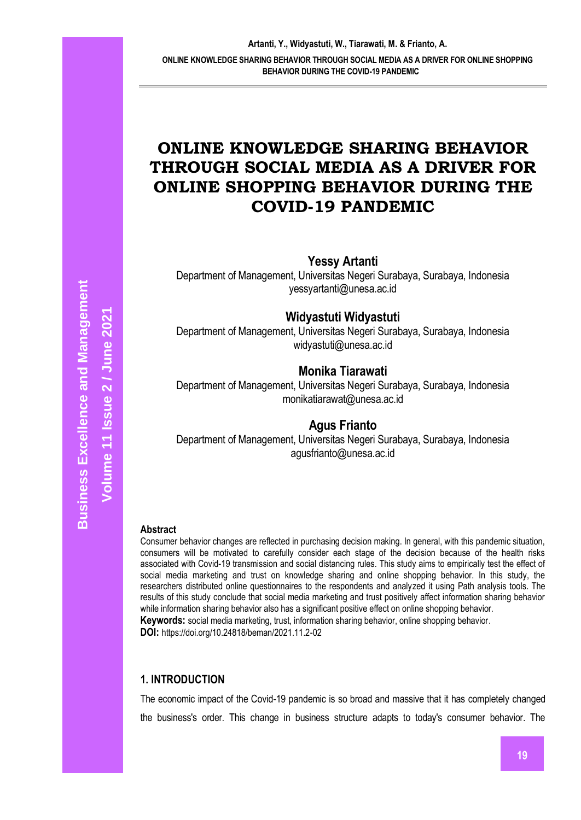# **ONLINE KNOWLEDGE SHARING BEHAVIOR THROUGH SOCIAL MEDIA AS A DRIVER FOR ONLINE SHOPPING BEHAVIOR DURING THE COVID-19 PANDEMIC**

**Yessy Artanti**

Department of Management, Universitas Negeri Surabaya, Surabaya, Indonesia yessyartanti@unesa.ac.id

**Widyastuti Widyastuti**

Department of Management, Universitas Negeri Surabaya, Surabaya, Indonesia [widyastuti@unesa.ac.id](mailto:widyastuti@unesa.ac.id)

# **Monika Tiarawati**

Department of Management, Universitas Negeri Surabaya, Surabaya, Indonesia [monikatiarawat@unesa.ac.id](mailto:monikatiarawat@unesa.ac.id)

# **Agus Frianto**

Department of Management, Universitas Negeri Surabaya, Surabaya, Indonesia agusfrianto@unesa.ac.id

#### **Abstract**

Consumer behavior changes are reflected in purchasing decision making. In general, with this pandemic situation, consumers will be motivated to carefully consider each stage of the decision because of the health risks associated with Covid-19 transmission and social distancing rules. This study aims to empirically test the effect of social media marketing and trust on knowledge sharing and online shopping behavior. In this study, the researchers distributed online questionnaires to the respondents and analyzed it using Path analysis tools. The results of this study conclude that social media marketing and trust positively affect information sharing behavior while information sharing behavior also has a significant positive effect on online shopping behavior. **Keywords:** social media marketing, trust, information sharing behavior, online shopping behavior.

**DOI:** https://doi.org/10.24818/beman/2021.11.2-02

# **1. INTRODUCTION**

The economic impact of the Covid-19 pandemic is so broad and massive that it has completely changed the business's order. This change in business structure adapts to today's consumer behavior. The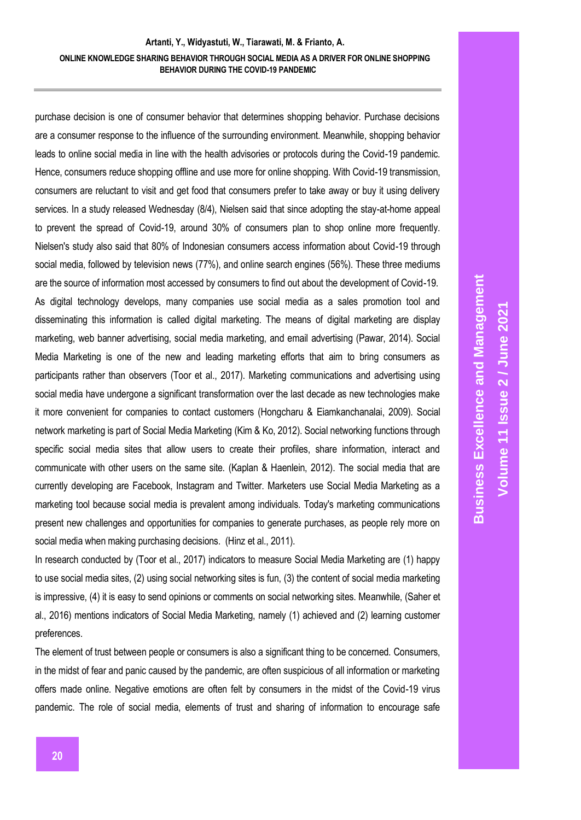purchase decision is one of consumer behavior that determines shopping behavior. Purchase decisions are a consumer response to the influence of the surrounding environment. Meanwhile, shopping behavior leads to online social media in line with the health advisories or protocols during the Covid-19 pandemic. Hence, consumers reduce shopping offline and use more for online shopping. With Covid-19 transmission, consumers are reluctant to visit and get food that consumers prefer to take away or buy it using delivery services. In a study released Wednesday (8/4), Nielsen said that since adopting the stay-at-home appeal to prevent the spread of Covid-19, around 30% of consumers plan to shop online more frequently. Nielsen's study also said that 80% of Indonesian consumers access information about Covid-19 through social media, followed by television news (77%), and online search engines (56%). These three mediums are the source of information most accessed by consumers to find out about the development of Covid-19. As digital technology develops, many companies use social media as a sales promotion tool and disseminating this information is called digital marketing. The means of digital marketing are display marketing, web banner advertising, social media marketing, and email advertising (Pawar, 2014). Social Media Marketing is one of the new and leading marketing efforts that aim to bring consumers as participants rather than observers (Toor et al., 2017). Marketing communications and advertising using social media have undergone a significant transformation over the last decade as new technologies make it more convenient for companies to contact customers (Hongcharu & Eiamkanchanalai, 2009). Social network marketing is part of Social Media Marketing (Kim & Ko, 2012). Social networking functions through specific social media sites that allow users to create their profiles, share information, interact and communicate with other users on the same site. (Kaplan & Haenlein, 2012). The social media that are currently developing are Facebook, Instagram and Twitter. Marketers use Social Media Marketing as a marketing tool because social media is prevalent among individuals. Today's marketing communications present new challenges and opportunities for companies to generate purchases, as people rely more on social media when making purchasing decisions. (Hinz et al., 2011).

In research conducted by (Toor et al., 2017) indicators to measure Social Media Marketing are (1) happy to use social media sites, (2) using social networking sites is fun, (3) the content of social media marketing is impressive, (4) it is easy to send opinions or comments on social networking sites. Meanwhile, (Saher et al., 2016) mentions indicators of Social Media Marketing, namely (1) achieved and (2) learning customer preferences.

The element of trust between people or consumers is also a significant thing to be concerned. Consumers, in the midst of fear and panic caused by the pandemic, are often suspicious of all information or marketing offers made online. Negative emotions are often felt by consumers in the midst of the Covid-19 virus pandemic. The role of social media, elements of trust and sharing of information to encourage safe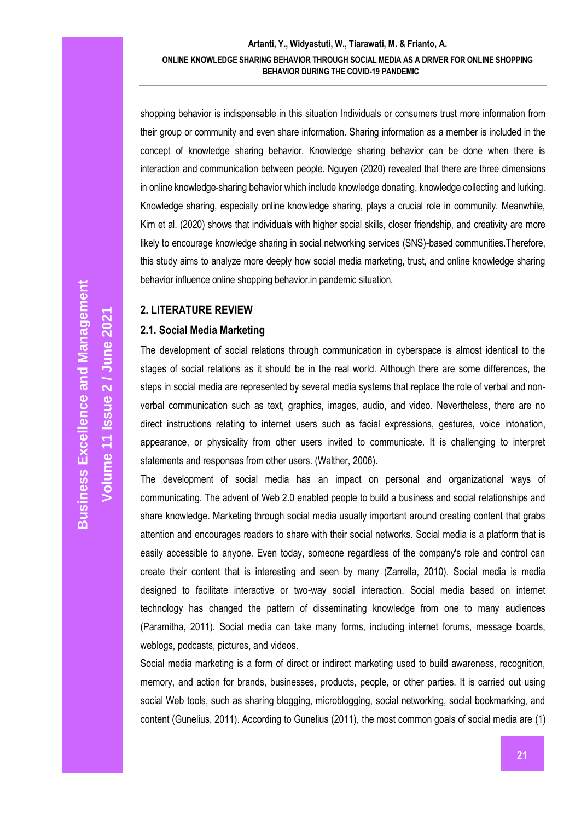shopping behavior is indispensable in this situation Individuals or consumers trust more information from their group or community and even share information. Sharing information as a member is included in the concept of knowledge sharing behavior. Knowledge sharing behavior can be done when there is interaction and communication between people. Nguyen (2020) revealed that there are three dimensions in online knowledge-sharing behavior which include knowledge donating, knowledge collecting and lurking. Knowledge sharing, especially online knowledge sharing, plays a crucial role in community. Meanwhile, Kim et al. (2020) shows that individuals with higher social skills, closer friendship, and creativity are more likely to encourage knowledge sharing in social networking services (SNS)-based communities.Therefore, this study aims to analyze more deeply how social media marketing, trust, and online knowledge sharing behavior influence online shopping behavior.in pandemic situation.

# **2. LITERATURE REVIEW**

#### **2.1. Social Media Marketing**

The development of social relations through communication in cyberspace is almost identical to the stages of social relations as it should be in the real world. Although there are some differences, the steps in social media are represented by several media systems that replace the role of verbal and nonverbal communication such as text, graphics, images, audio, and video. Nevertheless, there are no direct instructions relating to internet users such as facial expressions, gestures, voice intonation, appearance, or physicality from other users invited to communicate. It is challenging to interpret statements and responses from other users. (Walther, 2006).

The development of social media has an impact on personal and organizational ways of communicating. The advent of Web 2.0 enabled people to build a business and social relationships and share knowledge. Marketing through social media usually important around creating content that grabs attention and encourages readers to share with their social networks. Social media is a platform that is easily accessible to anyone. Even today, someone regardless of the company's role and control can create their content that is interesting and seen by many (Zarrella, 2010). Social media is media designed to facilitate interactive or two-way social interaction. Social media based on internet technology has changed the pattern of disseminating knowledge from one to many audiences (Paramitha, 2011). Social media can take many forms, including internet forums, message boards, weblogs, podcasts, pictures, and videos.

Social media marketing is a form of direct or indirect marketing used to build awareness, recognition, memory, and action for brands, businesses, products, people, or other parties. It is carried out using social Web tools, such as sharing blogging, microblogging, social networking, social bookmarking, and content (Gunelius, 2011). According to Gunelius (2011), the most common goals of social media are (1)

**Volume 11 Issue**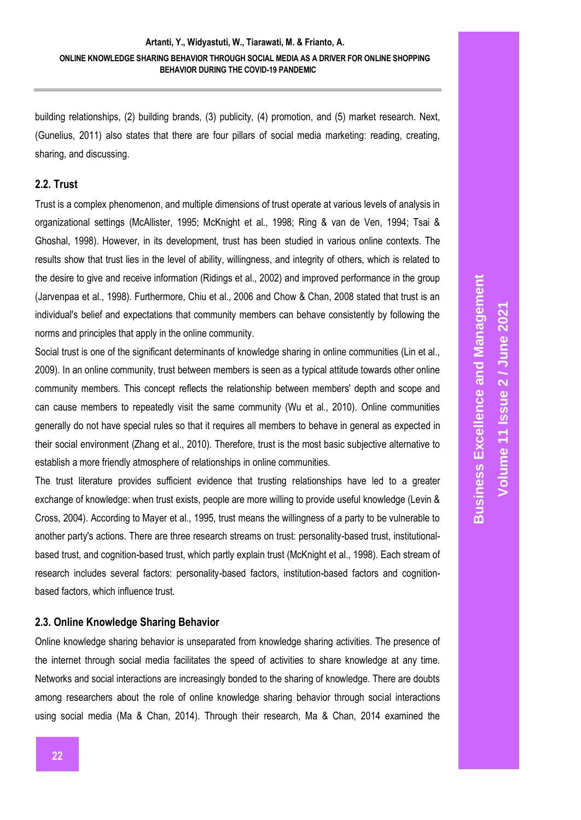building relationships, (2) building brands, (3) publicity, (4) promotion, and (5) market research. Next, (Gunelius, 2011) also states that there are four pillars of social media marketing: reading, creating, sharing, and discussing.

# **2.2. Trust**

Trust is a complex phenomenon, and multiple dimensions of trust operate at various levels of analysis in organizational settings (McAllister, 1995; McKnight et al., 1998; Ring & van de Ven, 1994; Tsai & Ghoshal, 1998). However, in its development, trust has been studied in various online contexts. The results show that trust lies in the level of ability, willingness, and integrity of others, which is related to the desire to give and receive information (Ridings et al., 2002) and improved performance in the group (Jarvenpaa et al., 1998). Furthermore, Chiu et al., 2006 and Chow & Chan, 2008 stated that trust is an individual's belief and expectations that community members can behave consistently by following the norms and principles that apply in the online community.

Social trust is one of the significant determinants of knowledge sharing in online communities (Lin et al., 2009). In an online community, trust between members is seen as a typical attitude towards other online community members. This concept reflects the relationship between members' depth and scope and can cause members to repeatedly visit the same community (Wu et al., 2010). Online communities generally do not have special rules so that it requires all members to behave in general as expected in their social environment (Zhang et al., 2010). Therefore, trust is the most basic subjective alternative to establish a more friendly atmosphere of relationships in online communities.

The trust literature provides sufficient evidence that trusting relationships have led to a greater exchange of knowledge: when trust exists, people are more willing to provide useful knowledge (Levin & Cross, 2004). According to Mayer et al., 1995, trust means the willingness of a party to be vulnerable to another party's actions. There are three research streams on trust: personality-based trust, institutionalbased trust, and cognition-based trust, which partly explain trust (McKnight et al., 1998). Each stream of research includes several factors: personality-based factors, institution-based factors and cognitionbased factors, which influence trust.

# **2.3. Online Knowledge Sharing Behavior**

Online knowledge sharing behavior is unseparated from knowledge sharing activities. The presence of the internet through social media facilitates the speed of activities to share knowledge at any time. Networks and social interactions are increasingly bonded to the sharing of knowledge. There are doubts among researchers about the role of online knowledge sharing behavior through social interactions using social media (Ma & Chan, 2014). Through their research, Ma & Chan, 2014 examined the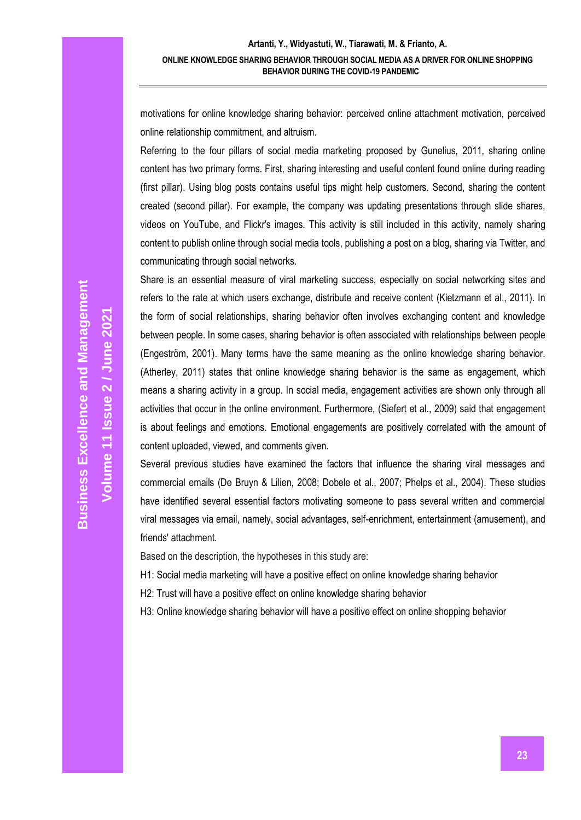motivations for online knowledge sharing behavior: perceived online attachment motivation, perceived online relationship commitment, and altruism.

Referring to the four pillars of social media marketing proposed by Gunelius, 2011, sharing online content has two primary forms. First, sharing interesting and useful content found online during reading (first pillar). Using blog posts contains useful tips might help customers. Second, sharing the content created (second pillar). For example, the company was updating presentations through slide shares, videos on YouTube, and Flickr's images. This activity is still included in this activity, namely sharing content to publish online through social media tools, publishing a post on a blog, sharing via Twitter, and communicating through social networks.

Share is an essential measure of viral marketing success, especially on social networking sites and refers to the rate at which users exchange, distribute and receive content (Kietzmann et al., 2011). In the form of social relationships, sharing behavior often involves exchanging content and knowledge between people. In some cases, sharing behavior is often associated with relationships between people (Engeström, 2001). Many terms have the same meaning as the online knowledge sharing behavior. (Atherley, 2011) states that online knowledge sharing behavior is the same as engagement, which means a sharing activity in a group. In social media, engagement activities are shown only through all activities that occur in the online environment. Furthermore, (Siefert et al., 2009) said that engagement is about feelings and emotions. Emotional engagements are positively correlated with the amount of content uploaded, viewed, and comments given.

Several previous studies have examined the factors that influence the sharing viral messages and commercial emails (De Bruyn & Lilien, 2008; Dobele et al., 2007; Phelps et al., 2004). These studies have identified several essential factors motivating someone to pass several written and commercial viral messages via email, namely, social advantages, self-enrichment, entertainment (amusement), and friends' attachment.

Based on the description, the hypotheses in this study are:

H1: Social media marketing will have a positive effect on online knowledge sharing behavior

H2: Trust will have a positive effect on online knowledge sharing behavior

H3: Online knowledge sharing behavior will have a positive effect on online shopping behavior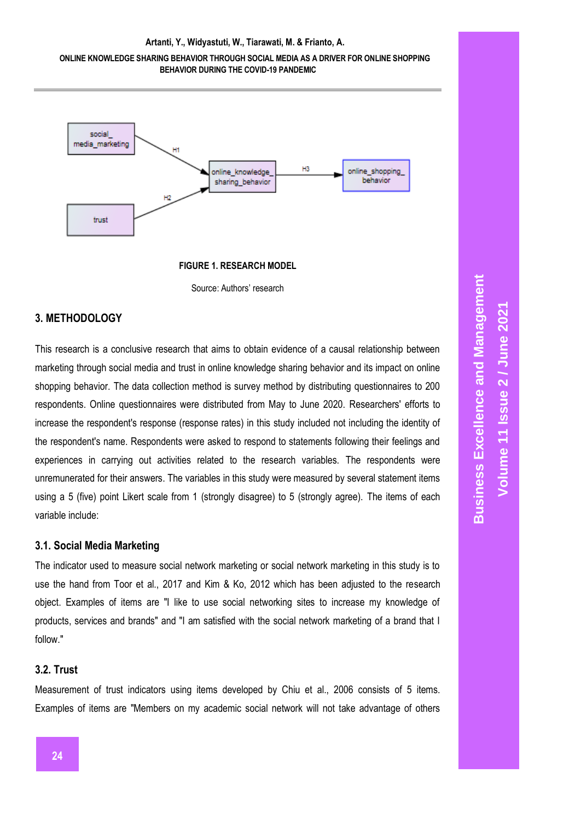#### **Artanti, Y., Widyastuti, W., Tiarawati, M. & Frianto, A.**

#### **ONLINE KNOWLEDGE SHARING BEHAVIOR THROUGH SOCIAL MEDIA AS A DRIVER FOR ONLINE SHOPPING BEHAVIOR DURING THE COVID-19 PANDEMIC**



**FIGURE 1. RESEARCH MODEL**

Source: Authors' research

# **3. METHODOLOGY**

This research is a conclusive research that aims to obtain evidence of a causal relationship between marketing through social media and trust in online knowledge sharing behavior and its impact on online shopping behavior. The data collection method is survey method by distributing questionnaires to 200 respondents. Online questionnaires were distributed from May to June 2020. Researchers' efforts to increase the respondent's response (response rates) in this study included not including the identity of the respondent's name. Respondents were asked to respond to statements following their feelings and experiences in carrying out activities related to the research variables. The respondents were unremunerated for their answers. The variables in this study were measured by several statement items using a 5 (five) point Likert scale from 1 (strongly disagree) to 5 (strongly agree). The items of each variable include:

#### **3.1. Social Media Marketing**

The indicator used to measure social network marketing or social network marketing in this study is to use the hand from Toor et al., 2017 and Kim & Ko, 2012 which has been adjusted to the research object. Examples of items are "I like to use social networking sites to increase my knowledge of products, services and brands" and "I am satisfied with the social network marketing of a brand that I follow."

# **3.2. Trust**

Measurement of trust indicators using items developed by Chiu et al., 2006 consists of 5 items. Examples of items are "Members on my academic social network will not take advantage of others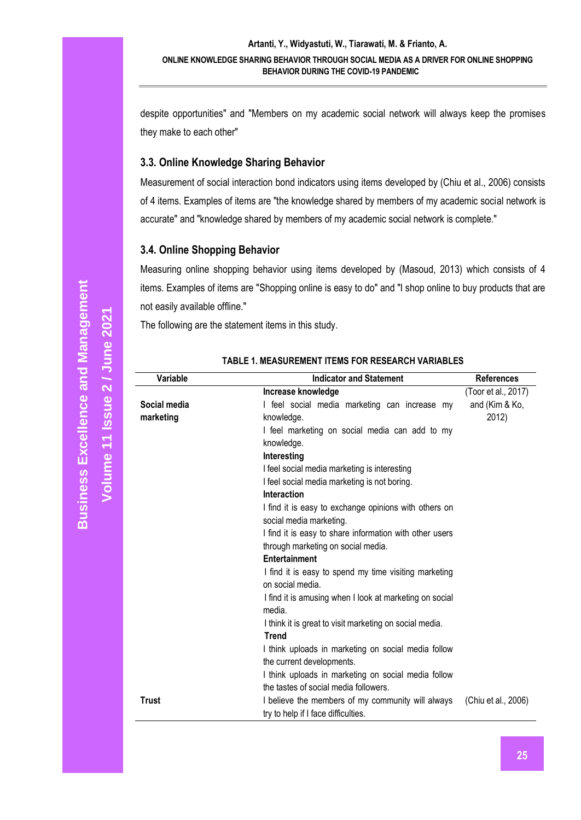despite opportunities" and "Members on my academic social network will always keep the promises they make to each other"

# **3.3. Online Knowledge Sharing Behavior**

Measurement of social interaction bond indicators using items developed by (Chiu et al., 2006) consists of 4 items. Examples of items are "the knowledge shared by members of my academic social network is accurate" and "knowledge shared by members of my academic social network is complete."

# **3.4. Online Shopping Behavior**

Measuring online shopping behavior using items developed by (Masoud, 2013) which consists of 4 items. Examples of items are "Shopping online is easy to do" and "I shop online to buy products that are not easily available offline."

The following are the statement items in this study.

| Increase knowledge                                                                                       | (Toor et al., 2017) |
|----------------------------------------------------------------------------------------------------------|---------------------|
| Social media<br>I feel social media marketing can increase my                                            | and (Kim & Ko,      |
| marketing<br>knowledge.                                                                                  | 2012)               |
| I feel marketing on social media can add to my                                                           |                     |
| knowledge.                                                                                               |                     |
| Interesting                                                                                              |                     |
| I feel social media marketing is interesting                                                             |                     |
| I feel social media marketing is not boring.                                                             |                     |
| Interaction                                                                                              |                     |
| I find it is easy to exchange opinions with others on                                                    |                     |
| social media marketing.                                                                                  |                     |
| I find it is easy to share information with other users                                                  |                     |
| through marketing on social media.                                                                       |                     |
| <b>Entertainment</b>                                                                                     |                     |
| I find it is easy to spend my time visiting marketing                                                    |                     |
| on social media.                                                                                         |                     |
| I find it is amusing when I look at marketing on social                                                  |                     |
| media.                                                                                                   |                     |
| I think it is great to visit marketing on social media.                                                  |                     |
| <b>Trend</b>                                                                                             |                     |
| I think uploads in marketing on social media follow                                                      |                     |
| the current developments.                                                                                |                     |
| I think uploads in marketing on social media follow                                                      |                     |
| the tastes of social media followers.                                                                    |                     |
| <b>Trust</b><br>I believe the members of my community will always<br>try to help if I face difficulties. | (Chiu et al., 2006) |

### **TABLE 1. MEASUREMENT ITEMS FOR RESEARCH VARIABLES**

**Volume 11 Issue** 

**2 / June 2021**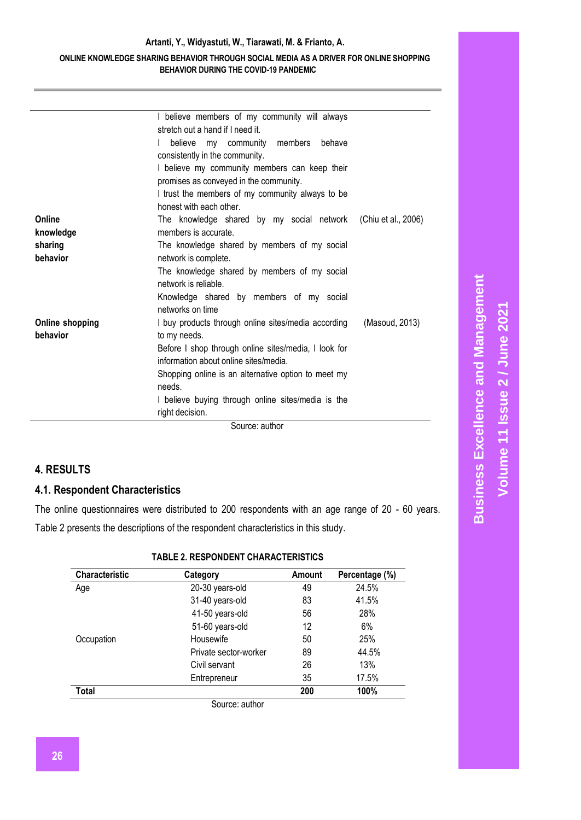|                        | I believe members of my community will always<br>stretch out a hand if I need it. |                |
|------------------------|-----------------------------------------------------------------------------------|----------------|
|                        | believe my community members behave<br>$\mathbf{I}$                               |                |
|                        | consistently in the community.                                                    |                |
|                        | I believe my community members can keep their                                     |                |
|                        | promises as conveyed in the community.                                            |                |
|                        | I trust the members of my community always to be                                  |                |
|                        | honest with each other.                                                           |                |
| Online                 | The knowledge shared by my social network (Chiu et al., 2006)                     |                |
| knowledge              | members is accurate.                                                              |                |
| sharing                | The knowledge shared by members of my social                                      |                |
| behavior               | network is complete.                                                              |                |
|                        | The knowledge shared by members of my social                                      |                |
|                        | network is reliable.                                                              |                |
|                        | Knowledge shared by members of my social<br>networks on time                      |                |
| <b>Online shopping</b> | I buy products through online sites/media according                               | (Masoud, 2013) |
| behavior               | to my needs.                                                                      |                |
|                        | Before I shop through online sites/media, I look for                              |                |
|                        | information about online sites/media.                                             |                |
|                        | Shopping online is an alternative option to meet my                               |                |
|                        | needs.                                                                            |                |
|                        | I believe buying through online sites/media is the                                |                |
|                        | right decision.                                                                   |                |
|                        |                                                                                   |                |

Source: author

# **4. RESULTS**

# **4.1. Respondent Characteristics**

The online questionnaires were distributed to 200 respondents with an age range of 20 - 60 years. Table 2 presents the descriptions of the respondent characteristics in this study.

| TABLE 2. RESPONDENT CHARACTERISTICS |
|-------------------------------------|
|-------------------------------------|

| Characteristic | Category              | Amount | Percentage (%) |
|----------------|-----------------------|--------|----------------|
| Age            | 20-30 years-old       | 49     | 24.5%          |
|                | 31-40 years-old       | 83     | 41.5%          |
|                | 41-50 years-old       | 56     | 28%            |
|                | 51-60 years-old       | 12     | 6%             |
| Occupation     | Housewife             | 50     | 25%            |
|                | Private sector-worker | 89     | 44.5%          |
|                | Civil servant         | 26     | 13%            |
|                | Entrepreneur          | 35     | 17.5%          |
| Total          |                       | 200    | 100%           |
|                | Source: author        |        |                |

**Business Excellence and Management Business Excellence and Management** Volume 11 Issue 2 / June 2021 **Volume 11 Issue 2 / June 2021**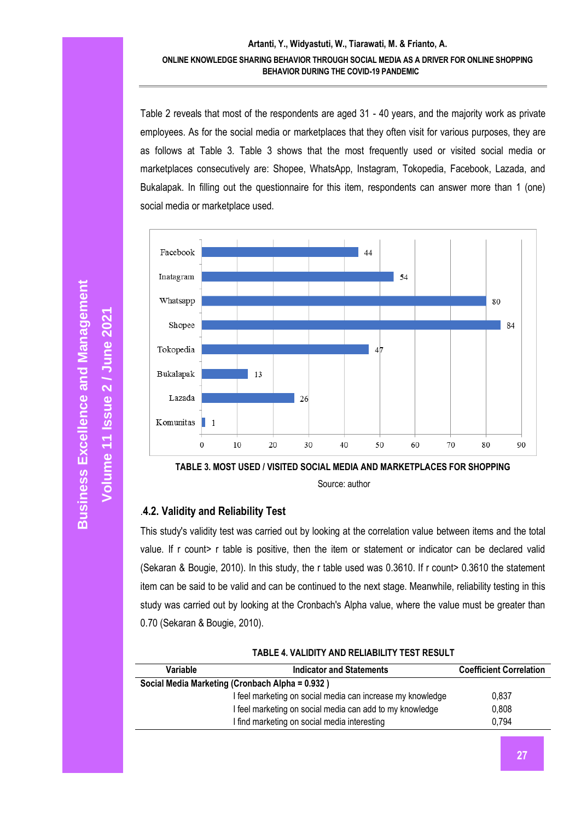Table 2 reveals that most of the respondents are aged 31 - 40 years, and the majority work as private employees. As for the social media or marketplaces that they often visit for various purposes, they are as follows at Table 3. Table 3 shows that the most frequently used or visited social media or marketplaces consecutively are: Shopee, WhatsApp, Instagram, Tokopedia, Facebook, Lazada, and Bukalapak. In filling out the questionnaire for this item, respondents can answer more than 1 (one) social media or marketplace used.



Source: author

# .**4.2. Validity and Reliability Test**

This study's validity test was carried out by looking at the correlation value between items and the total value. If r count> r table is positive, then the item or statement or indicator can be declared valid (Sekaran & Bougie, 2010). In this study, the r table used was 0.3610. If r count> 0.3610 the statement item can be said to be valid and can be continued to the next stage. Meanwhile, reliability testing in this study was carried out by looking at the Cronbach's Alpha value, where the value must be greater than 0.70 (Sekaran & Bougie, 2010).

| TABLE 4. VALIDITY AND RELIABILITY TEST RESULT |  |  |  |  |  |  |  |
|-----------------------------------------------|--|--|--|--|--|--|--|
|-----------------------------------------------|--|--|--|--|--|--|--|

| Variable                                        | <b>Indicator and Statements</b>                            | <b>Coefficient Correlation</b> |
|-------------------------------------------------|------------------------------------------------------------|--------------------------------|
| Social Media Marketing (Cronbach Alpha = 0.932) |                                                            |                                |
|                                                 | I feel marketing on social media can increase my knowledge | 0,837                          |
|                                                 | I feel marketing on social media can add to my knowledge   | 0,808                          |
|                                                 | I find marketing on social media interesting               | 0.794                          |

**Volume 11 Issue** 

**2 / June 2021**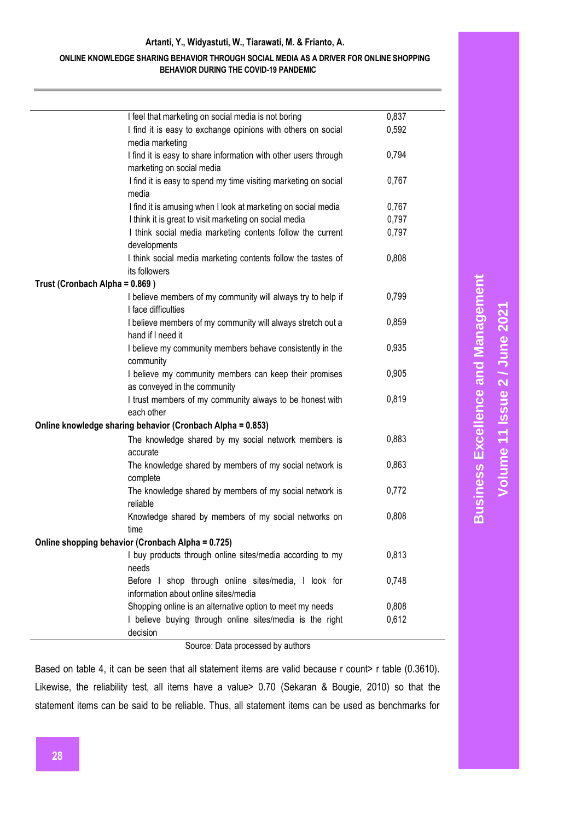#### **Artanti, Y., Widyastuti, W., Tiarawati, M. & Frianto, A.**

#### **ONLINE KNOWLEDGE SHARING BEHAVIOR THROUGH SOCIAL MEDIA AS A DRIVER FOR ONLINE SHOPPING BEHAVIOR DURING THE COVID-19 PANDEMIC**

|                                | I feel that marketing on social media is not boring             | 0,837 |
|--------------------------------|-----------------------------------------------------------------|-------|
|                                | I find it is easy to exchange opinions with others on social    | 0,592 |
|                                | media marketing                                                 |       |
|                                | I find it is easy to share information with other users through | 0,794 |
|                                | marketing on social media                                       |       |
|                                | I find it is easy to spend my time visiting marketing on social | 0,767 |
|                                | media                                                           |       |
|                                | I find it is amusing when I look at marketing on social media   | 0,767 |
|                                | I think it is great to visit marketing on social media          | 0,797 |
|                                | I think social media marketing contents follow the current      | 0,797 |
|                                | developments                                                    |       |
|                                | I think social media marketing contents follow the tastes of    | 0,808 |
|                                | its followers                                                   |       |
| Trust (Cronbach Alpha = 0.869) |                                                                 |       |
|                                | I believe members of my community will always try to help if    | 0,799 |
|                                | I face difficulties                                             |       |
|                                | I believe members of my community will always stretch out a     | 0,859 |
|                                | hand if I need it                                               |       |
|                                | I believe my community members behave consistently in the       | 0,935 |
|                                | community                                                       |       |
|                                | I believe my community members can keep their promises          | 0,905 |
|                                | as conveyed in the community                                    |       |
|                                | I trust members of my community always to be honest with        | 0,819 |
|                                | each other                                                      |       |
|                                | Online knowledge sharing behavior (Cronbach Alpha = 0.853)      |       |
|                                | The knowledge shared by my social network members is            | 0,883 |
|                                | accurate                                                        |       |
|                                | The knowledge shared by members of my social network is         | 0,863 |
|                                | complete                                                        |       |
|                                | The knowledge shared by members of my social network is         | 0,772 |
|                                | reliable                                                        |       |
|                                | Knowledge shared by members of my social networks on            | 0,808 |
|                                | time                                                            |       |
|                                | Online shopping behavior (Cronbach Alpha = 0.725)               |       |
|                                | I buy products through online sites/media according to my       | 0,813 |
|                                | needs                                                           |       |
|                                | Before I shop through online sites/media, I look for            | 0,748 |
|                                | information about online sites/media                            |       |
|                                | Shopping online is an alternative option to meet my needs       | 0,808 |
|                                | I believe buying through online sites/media is the right        | 0,612 |
|                                | decision                                                        |       |

Source: Data processed by authors

Based on table 4, it can be seen that all statement items are valid because r count> r table (0.3610). Likewise, the reliability test, all items have a value> 0.70 (Sekaran & Bougie, 2010) so that the statement items can be said to be reliable. Thus, all statement items can be used as benchmarks for

**Business Excellence and Management Business Excellence and Management** Volume 11 Issue 2 / June 2021 **Volume 11 Issue 2 / June 2021**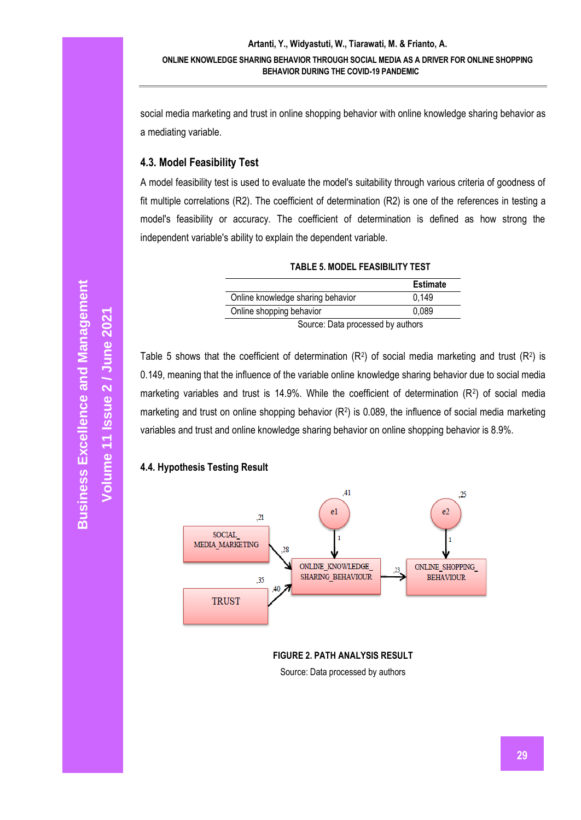social media marketing and trust in online shopping behavior with online knowledge sharing behavior as a mediating variable.

# **4.3. Model Feasibility Test**

A model feasibility test is used to evaluate the model's suitability through various criteria of goodness of fit multiple correlations (R2). The coefficient of determination (R2) is one of the references in testing a model's feasibility or accuracy. The coefficient of determination is defined as how strong the independent variable's ability to explain the dependent variable.

|                                            | <b>Estimate</b> |  |  |
|--------------------------------------------|-----------------|--|--|
| 0.149<br>Online knowledge sharing behavior |                 |  |  |
| Online shopping behavior<br>0.089          |                 |  |  |
| Source: Data processed by authors          |                 |  |  |

**TABLE 5. MODEL FEASIBILITY TEST**

Table 5 shows that the coefficient of determination ( $R^2$ ) of social media marketing and trust ( $R^2$ ) is 0.149, meaning that the influence of the variable online knowledge sharing behavior due to social media marketing variables and trust is 14.9%. While the coefficient of determination  $(R^2)$  of social media marketing and trust on online shopping behavior (R<sup>2</sup>) is 0.089, the influence of social media marketing variables and trust and online knowledge sharing behavior on online shopping behavior is 8.9%.

# **4.4. Hypothesis Testing Result**



**FIGURE 2. PATH ANALYSIS RESULT** Source: Data processed by authors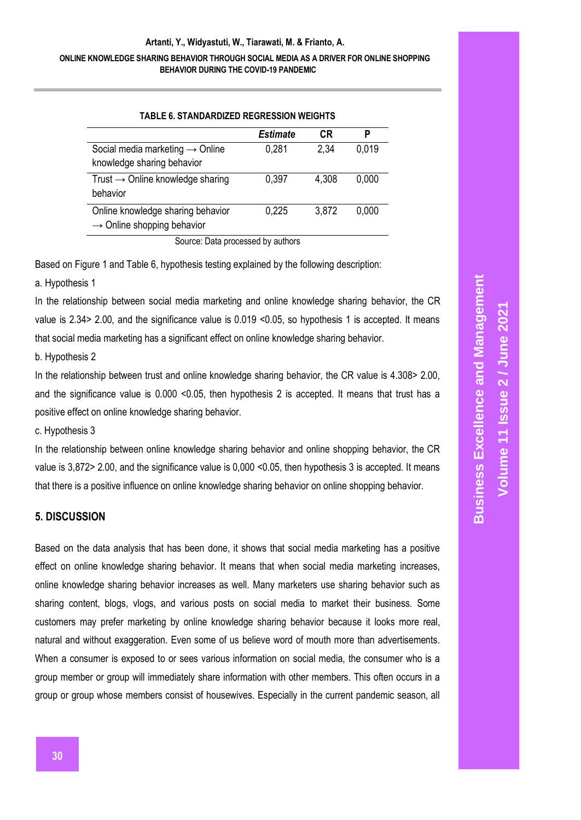#### **ONLINE KNOWLEDGE SHARING BEHAVIOR THROUGH SOCIAL MEDIA AS A DRIVER FOR ONLINE SHOPPING BEHAVIOR DURING THE COVID-19 PANDEMIC**

| <b>TABLE 6. STANDARDIZED REGRESSION WEIGHTS</b>                             |          |       |       |  |  |
|-----------------------------------------------------------------------------|----------|-------|-------|--|--|
|                                                                             | Estimate | CR    | P     |  |  |
| Social media marketing $\rightarrow$ Online<br>knowledge sharing behavior   | 0,281    | 2,34  | 0,019 |  |  |
| Trust $\rightarrow$ Online knowledge sharing<br>behavior                    | 0.397    | 4,308 | 0,000 |  |  |
| Online knowledge sharing behavior<br>$\rightarrow$ Online shopping behavior | 0,225    | 3,872 | 0,000 |  |  |
| Oscoso e : Doto mas especial les podes es                                   |          |       |       |  |  |

Source: Data processed by authors

Based on Figure 1 and Table 6, hypothesis testing explained by the following description:

a. Hypothesis 1

In the relationship between social media marketing and online knowledge sharing behavior, the CR value is 2.34> 2.00, and the significance value is 0.019 <0.05, so hypothesis 1 is accepted. It means that social media marketing has a significant effect on online knowledge sharing behavior.

b. Hypothesis 2

In the relationship between trust and online knowledge sharing behavior, the CR value is 4.308> 2.00, and the significance value is 0.000 <0.05, then hypothesis 2 is accepted. It means that trust has a positive effect on online knowledge sharing behavior.

c. Hypothesis 3

In the relationship between online knowledge sharing behavior and online shopping behavior, the CR value is 3,872> 2.00, and the significance value is 0,000 <0.05, then hypothesis 3 is accepted. It means that there is a positive influence on online knowledge sharing behavior on online shopping behavior.

# **5. DISCUSSION**

Based on the data analysis that has been done, it shows that social media marketing has a positive effect on online knowledge sharing behavior. It means that when social media marketing increases, online knowledge sharing behavior increases as well. Many marketers use sharing behavior such as sharing content, blogs, vlogs, and various posts on social media to market their business. Some customers may prefer marketing by online knowledge sharing behavior because it looks more real, natural and without exaggeration. Even some of us believe word of mouth more than advertisements. When a consumer is exposed to or sees various information on social media, the consumer who is a group member or group will immediately share information with other members. This often occurs in a group or group whose members consist of housewives. Especially in the current pandemic season, all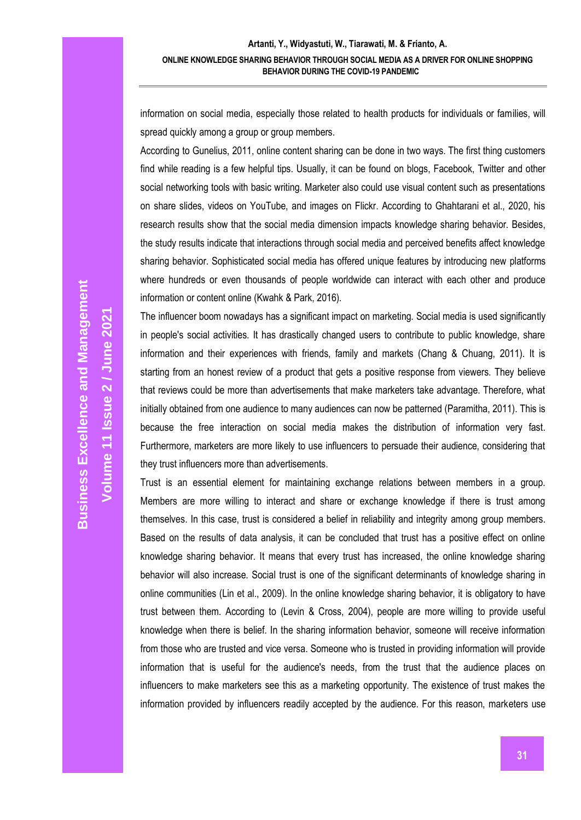information on social media, especially those related to health products for individuals or families, will spread quickly among a group or group members.

According to Gunelius, 2011, online content sharing can be done in two ways. The first thing customers find while reading is a few helpful tips. Usually, it can be found on blogs, Facebook, Twitter and other social networking tools with basic writing. Marketer also could use visual content such as presentations on share slides, videos on YouTube, and images on Flickr. According to Ghahtarani et al., 2020, his research results show that the social media dimension impacts knowledge sharing behavior. Besides, the study results indicate that interactions through social media and perceived benefits affect knowledge sharing behavior. Sophisticated social media has offered unique features by introducing new platforms where hundreds or even thousands of people worldwide can interact with each other and produce information or content online (Kwahk & Park, 2016).

The influencer boom nowadays has a significant impact on marketing. Social media is used significantly in people's social activities. It has drastically changed users to contribute to public knowledge, share information and their experiences with friends, family and markets (Chang & Chuang, 2011). It is starting from an honest review of a product that gets a positive response from viewers. They believe that reviews could be more than advertisements that make marketers take advantage. Therefore, what initially obtained from one audience to many audiences can now be patterned (Paramitha, 2011). This is because the free interaction on social media makes the distribution of information very fast. Furthermore, marketers are more likely to use influencers to persuade their audience, considering that they trust influencers more than advertisements.

Trust is an essential element for maintaining exchange relations between members in a group. Members are more willing to interact and share or exchange knowledge if there is trust among themselves. In this case, trust is considered a belief in reliability and integrity among group members. Based on the results of data analysis, it can be concluded that trust has a positive effect on online knowledge sharing behavior. It means that every trust has increased, the online knowledge sharing behavior will also increase. Social trust is one of the significant determinants of knowledge sharing in online communities (Lin et al., 2009). In the online knowledge sharing behavior, it is obligatory to have trust between them. According to (Levin & Cross, 2004), people are more willing to provide useful knowledge when there is belief. In the sharing information behavior, someone will receive information from those who are trusted and vice versa. Someone who is trusted in providing information will provide information that is useful for the audience's needs, from the trust that the audience places on influencers to make marketers see this as a marketing opportunity. The existence of trust makes the information provided by influencers readily accepted by the audience. For this reason, marketers use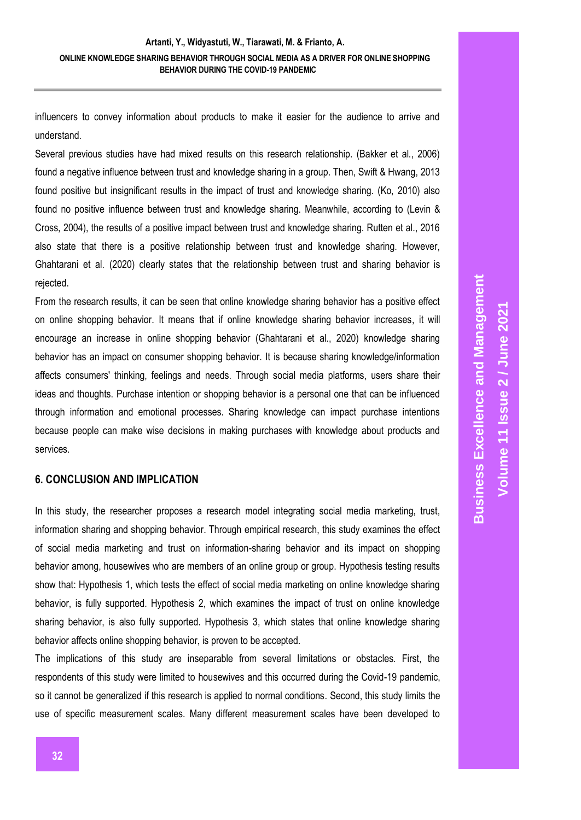influencers to convey information about products to make it easier for the audience to arrive and understand.

Several previous studies have had mixed results on this research relationship. (Bakker et al., 2006) found a negative influence between trust and knowledge sharing in a group. Then, Swift & Hwang, 2013 found positive but insignificant results in the impact of trust and knowledge sharing. (Ko, 2010) also found no positive influence between trust and knowledge sharing. Meanwhile, according to (Levin & Cross, 2004), the results of a positive impact between trust and knowledge sharing. Rutten et al., 2016 also state that there is a positive relationship between trust and knowledge sharing. However, Ghahtarani et al. (2020) clearly states that the relationship between trust and sharing behavior is rejected.

From the research results, it can be seen that online knowledge sharing behavior has a positive effect on online shopping behavior. It means that if online knowledge sharing behavior increases, it will encourage an increase in online shopping behavior (Ghahtarani et al., 2020) knowledge sharing behavior has an impact on consumer shopping behavior. It is because sharing knowledge/information affects consumers' thinking, feelings and needs. Through social media platforms, users share their ideas and thoughts. Purchase intention or shopping behavior is a personal one that can be influenced through information and emotional processes. Sharing knowledge can impact purchase intentions because people can make wise decisions in making purchases with knowledge about products and services.

#### **6. CONCLUSION AND IMPLICATION**

In this study, the researcher proposes a research model integrating social media marketing, trust, information sharing and shopping behavior. Through empirical research, this study examines the effect of social media marketing and trust on information-sharing behavior and its impact on shopping behavior among, housewives who are members of an online group or group. Hypothesis testing results show that: Hypothesis 1, which tests the effect of social media marketing on online knowledge sharing behavior, is fully supported. Hypothesis 2, which examines the impact of trust on online knowledge sharing behavior, is also fully supported. Hypothesis 3, which states that online knowledge sharing behavior affects online shopping behavior, is proven to be accepted.

The implications of this study are inseparable from several limitations or obstacles. First, the respondents of this study were limited to housewives and this occurred during the Covid-19 pandemic, so it cannot be generalized if this research is applied to normal conditions. Second, this study limits the use of specific measurement scales. Many different measurement scales have been developed to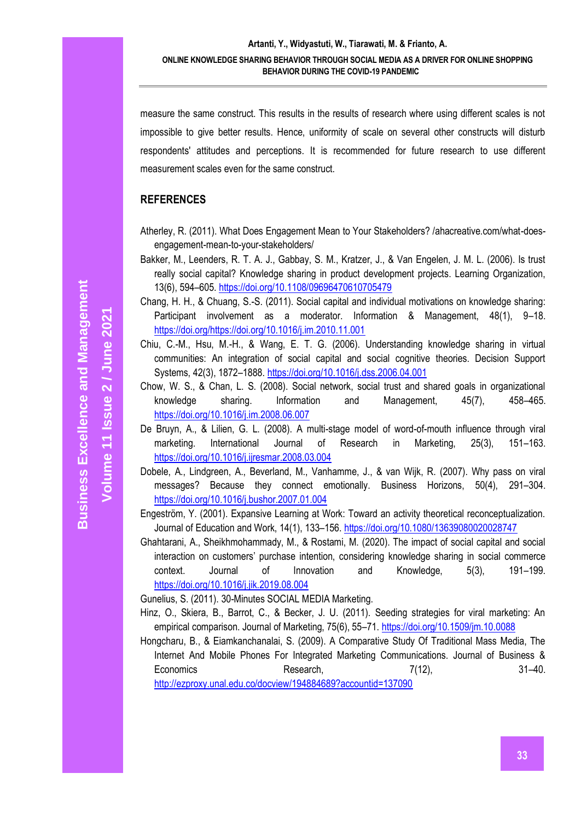measure the same construct. This results in the results of research where using different scales is not impossible to give better results. Hence, uniformity of scale on several other constructs will disturb respondents' attitudes and perceptions. It is recommended for future research to use different measurement scales even for the same construct.

# **REFERENCES**

- Atherley, R. (2011). What Does Engagement Mean to Your Stakeholders? /ahacreative.com/what-doesengagement-mean-to-your-stakeholders/
- Bakker, M., Leenders, R. T. A. J., Gabbay, S. M., Kratzer, J., & Van Engelen, J. M. L. (2006). Is trust really social capital? Knowledge sharing in product development projects. Learning Organization, 13(6), 594–605.<https://doi.org/10.1108/09696470610705479>
- Chang, H. H., & Chuang, S.-S. (2011). Social capital and individual motivations on knowledge sharing: Participant involvement as a moderator. Information & Management, 48(1), 9–18. [https://doi.org/https://doi.org/10.1016/j.im.2010.11.001](https://doi.org/https:/doi.org/10.1016/j.im.2010.11.001)
- Chiu, C.-M., Hsu, M.-H., & Wang, E. T. G. (2006). Understanding knowledge sharing in virtual communities: An integration of social capital and social cognitive theories. Decision Support Systems, 42(3), 1872–1888.<https://doi.org/10.1016/j.dss.2006.04.001>
- Chow, W. S., & Chan, L. S. (2008). Social network, social trust and shared goals in organizational knowledge sharing. Information and Management, 45(7), 458–465. <https://doi.org/10.1016/j.im.2008.06.007>
- De Bruyn, A., & Lilien, G. L. (2008). A multi-stage model of word-of-mouth influence through viral marketing. International Journal of Research in Marketing, 25(3), 151–163. <https://doi.org/10.1016/j.ijresmar.2008.03.004>
- Dobele, A., Lindgreen, A., Beverland, M., Vanhamme, J., & van Wijk, R. (2007). Why pass on viral messages? Because they connect emotionally. Business Horizons, 50(4), 291–304. <https://doi.org/10.1016/j.bushor.2007.01.004>
- Engeström, Y. (2001). Expansive Learning at Work: Toward an activity theoretical reconceptualization. Journal of Education and Work, 14(1), 133–156.<https://doi.org/10.1080/13639080020028747>
- Ghahtarani, A., Sheikhmohammady, M., & Rostami, M. (2020). The impact of social capital and social interaction on customers' purchase intention, considering knowledge sharing in social commerce context. Journal of Innovation and Knowledge, 5(3), 191–199. <https://doi.org/10.1016/j.jik.2019.08.004>

Gunelius, S. (2011). 30-Minutes SOCIAL MEDIA Marketing.

- Hinz, O., Skiera, B., Barrot, C., & Becker, J. U. (2011). Seeding strategies for viral marketing: An empirical comparison. Journal of Marketing, 75(6), 55–71.<https://doi.org/10.1509/jm.10.0088>
- Hongcharu, B., & Eiamkanchanalai, S. (2009). A Comparative Study Of Traditional Mass Media, The Internet And Mobile Phones For Integrated Marketing Communications. Journal of Business & Economics Research, 7(12), 7(12), 31–40. <http://ezproxy.unal.edu.co/docview/194884689?accountid=137090>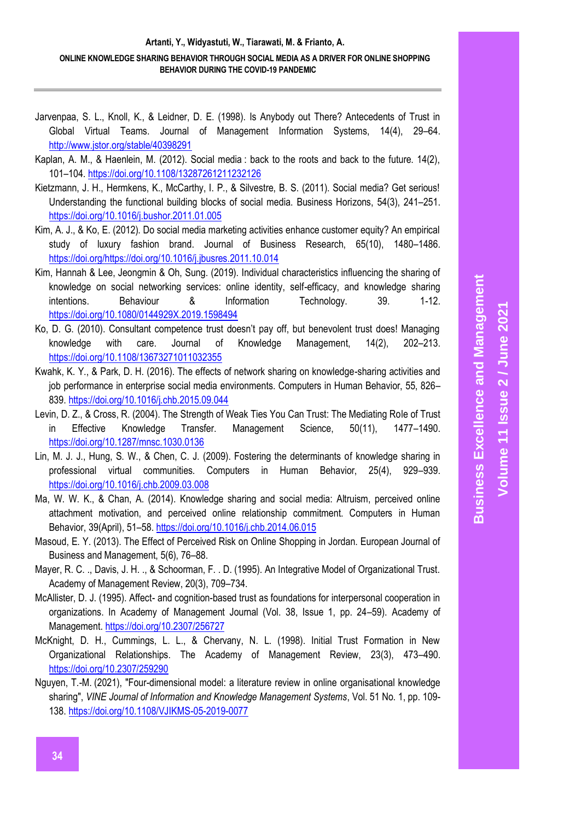- Jarvenpaa, S. L., Knoll, K., & Leidner, D. E. (1998). Is Anybody out There? Antecedents of Trust in Global Virtual Teams. Journal of Management Information Systems, 14(4), 29–64. <http://www.jstor.org/stable/40398291>
- Kaplan, A. M., & Haenlein, M. (2012). Social media : back to the roots and back to the future. 14(2), 101–104.<https://doi.org/10.1108/13287261211232126>
- Kietzmann, J. H., Hermkens, K., McCarthy, I. P., & Silvestre, B. S. (2011). Social media? Get serious! Understanding the functional building blocks of social media. Business Horizons, 54(3), 241–251. <https://doi.org/10.1016/j.bushor.2011.01.005>
- Kim, A. J., & Ko, E. (2012). Do social media marketing activities enhance customer equity? An empirical study of luxury fashion brand. Journal of Business Research, 65(10), 1480–1486. [https://doi.org/https://doi.org/10.1016/j.jbusres.2011.10.014](https://doi.org/https:/doi.org/10.1016/j.jbusres.2011.10.014)
- Kim, Hannah & Lee, Jeongmin & Oh, Sung. (2019). Individual characteristics influencing the sharing of knowledge on social networking services: online identity, self-efficacy, and knowledge sharing intentions. Behaviour & Information Technology. 39. 1-12. <https://doi.org/10.1080/0144929X.2019.1598494>
- Ko, D. G. (2010). Consultant competence trust doesn't pay off, but benevolent trust does! Managing knowledge with care. Journal of Knowledge Management, 14(2), 202–213. <https://doi.org/10.1108/13673271011032355>
- Kwahk, K. Y., & Park, D. H. (2016). The effects of network sharing on knowledge-sharing activities and job performance in enterprise social media environments. Computers in Human Behavior, 55, 826– 839.<https://doi.org/10.1016/j.chb.2015.09.044>
- Levin, D. Z., & Cross, R. (2004). The Strength of Weak Ties You Can Trust: The Mediating Role of Trust in Effective Knowledge Transfer. Management Science, 50(11), 1477–1490. <https://doi.org/10.1287/mnsc.1030.0136>
- Lin, M. J. J., Hung, S. W., & Chen, C. J. (2009). Fostering the determinants of knowledge sharing in professional virtual communities. Computers in Human Behavior, 25(4), 929–939. <https://doi.org/10.1016/j.chb.2009.03.008>
- Ma, W. W. K., & Chan, A. (2014). Knowledge sharing and social media: Altruism, perceived online attachment motivation, and perceived online relationship commitment. Computers in Human Behavior, 39(April), 51–58.<https://doi.org/10.1016/j.chb.2014.06.015>
- Masoud, E. Y. (2013). The Effect of Perceived Risk on Online Shopping in Jordan. European Journal of Business and Management, 5(6), 76–88.
- Mayer, R. C. ., Davis, J. H. ., & Schoorman, F. . D. (1995). An Integrative Model of Organizational Trust. Academy of Management Review, 20(3), 709–734.
- McAllister, D. J. (1995). Affect- and cognition-based trust as foundations for interpersonal cooperation in organizations. In Academy of Management Journal (Vol. 38, Issue 1, pp. 24–59). Academy of Management.<https://doi.org/10.2307/256727>
- McKnight, D. H., Cummings, L. L., & Chervany, N. L. (1998). Initial Trust Formation in New Organizational Relationships. The Academy of Management Review, 23(3), 473–490. <https://doi.org/10.2307/259290>
- [Nguyen, T.-M.](https://www.emerald.com/insight/search?q=Tuyet-Mai%20Nguyen) (2021), "Four-dimensional model: a literature review in online organisational knowledge sharing", *[VINE Journal of Information and Knowledge Management Systems](https://www.emerald.com/insight/publication/issn/2059-5891)*, Vol. 51 No. 1, pp. 109- 138. <https://doi.org/10.1108/VJIKMS-05-2019-0077>